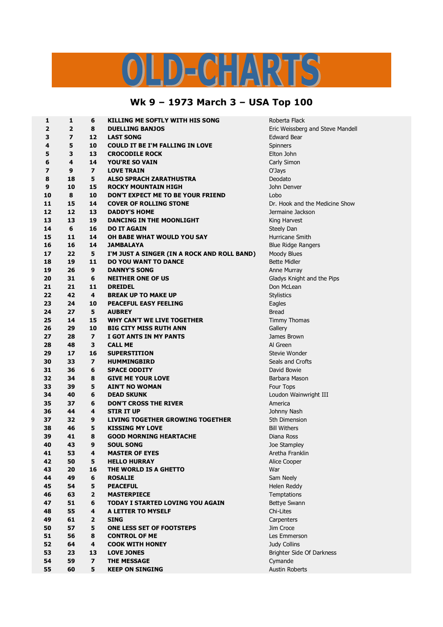## ID-CHARTS

## **Wk 9 – 1973 March 3 – USA Top 100**

| 1                       | 1              | 6                       | KILLING ME SOFTLY WITH HIS SONG             | Roberta Flack                    |
|-------------------------|----------------|-------------------------|---------------------------------------------|----------------------------------|
| $\mathbf{2}$            | $\overline{2}$ | 8                       | <b>DUELLING BANJOS</b>                      | Eric Weissberg and Steve Mandell |
| 3                       | $\overline{ }$ | 12                      | <b>LAST SONG</b>                            | <b>Edward Bear</b>               |
| 4                       | 5              | 10                      | <b>COULD IT BE I'M FALLING IN LOVE</b>      | Spinners                         |
| 5                       | 3              | 13                      | <b>CROCODILE ROCK</b>                       | Elton John                       |
| 6                       | 4              | 14                      | <b>YOU'RE SO VAIN</b>                       | Carly Simon                      |
| $\overline{\mathbf{z}}$ | 9              | $\overline{ }$          | <b>LOVE TRAIN</b>                           | O'Jays                           |
| 8                       | 18             | 5                       | <b>ALSO SPRACH ZARATHUSTRA</b>              | Deodato                          |
| 9                       | 10             | 15                      | <b>ROCKY MOUNTAIN HIGH</b>                  | John Denver                      |
| 10                      | 8              | 10                      | DON'T EXPECT ME TO BE YOUR FRIEND           | Lobo                             |
| 11                      | 15             | 14                      | <b>COVER OF ROLLING STONE</b>               | Dr. Hook and the Medicine Show   |
| 12                      | 12             |                         |                                             |                                  |
|                         |                | 13                      | <b>DADDY'S HOME</b>                         | Jermaine Jackson                 |
| 13                      | 13             | 19                      | DANCING IN THE MOONLIGHT                    | King Harvest                     |
| 14                      | 6              | 16                      | <b>DO IT AGAIN</b>                          | Steely Dan                       |
| 15                      | 11             | 14                      | OH BABE WHAT WOULD YOU SAY                  | Hurricane Smith                  |
| 16                      | 16             | 14                      | <b>JAMBALAYA</b>                            | <b>Blue Ridge Rangers</b>        |
| 17                      | 22             | 5                       | I'M JUST A SINGER (IN A ROCK AND ROLL BAND) | Moody Blues                      |
| 18                      | 19             | 11                      | <b>DO YOU WANT TO DANCE</b>                 | <b>Bette Midler</b>              |
| 19                      | 26             | 9                       | <b>DANNY'S SONG</b>                         | Anne Murray                      |
| 20                      | 31             | 6                       | <b>NEITHER ONE OF US</b>                    | Gladys Knight and the Pips       |
| 21                      | 21             | 11                      | <b>DREIDEL</b>                              | Don McLean                       |
| 22                      | 42             | 4                       | <b>BREAK UP TO MAKE UP</b>                  | Stylistics                       |
| 23                      | 24             | 10                      | <b>PEACEFUL EASY FEELING</b>                | Eagles                           |
| 24                      | 27             | 5                       | <b>AUBREY</b>                               | <b>Bread</b>                     |
| 25                      | 14             | 15                      | <b>WHY CAN'T WE LIVE TOGETHER</b>           | Timmy Thomas                     |
| 26                      | 29             | 10                      | <b>BIG CITY MISS RUTH ANN</b>               | Gallery                          |
| 27                      | 28             | $\overline{\mathbf{z}}$ | I GOT ANTS IN MY PANTS                      | James Brown                      |
| 28                      | 48             | 3                       | <b>CALL ME</b>                              | Al Green                         |
| 29                      | 17             | 16                      | <b>SUPERSTITION</b>                         | Stevie Wonder                    |
| 30                      | 33             | $\overline{ }$          | <b>HUMMINGBIRD</b>                          | Seals and Crofts                 |
| 31                      | 36             | 6                       | <b>SPACE ODDITY</b>                         | David Bowie                      |
| 32                      | 34             | 8                       | <b>GIVE ME YOUR LOVE</b>                    | Barbara Mason                    |
| 33                      | 39             | 5                       | <b>AIN'T NO WOMAN</b>                       | Four Tops                        |
| 34                      | 40             | 6                       | <b>DEAD SKUNK</b>                           | Loudon Wainwright III            |
| 35                      | 37             | 6                       | <b>DON'T CROSS THE RIVER</b>                | America                          |
| 36                      | 44             | 4                       | <b>STIR IT UP</b>                           | Johnny Nash                      |
| 37                      | 32             | 9                       | LIVING TOGETHER GROWING TOGETHER            | 5th Dimension                    |
| 38                      | 46             | 5                       | <b>KISSING MY LOVE</b>                      | <b>Bill Withers</b>              |
| 39                      | 41             | 8                       | <b>GOOD MORNING HEARTACHE</b>               | Diana Ross                       |
| 40                      | 43             | 9                       | <b>SOUL SONG</b>                            | Joe Stampley                     |
| 41                      | 53             | 4                       | <b>MASTER OF EYES</b>                       | Aretha Franklin                  |
| 42                      | 50             | 5.                      | <b>HELLO HURRAY</b>                         | Alice Cooper                     |
| 43                      | 20             | 16                      | THE WORLD IS A GHETTO                       | War                              |
| 44                      | 49             | 6                       | <b>ROSALIE</b>                              | Sam Neely                        |
| 45                      | 54             | 5                       | <b>PEACEFUL</b>                             | Helen Reddy                      |
| 46                      | 63             | $\overline{\mathbf{2}}$ | <b>MASTERPIECE</b>                          | Temptations                      |
| 47                      | 51             | 6                       | TODAY I STARTED LOVING YOU AGAIN            | Bettye Swann                     |
| 48                      | 55             | 4                       | <b>A LETTER TO MYSELF</b>                   | Chi-Lites                        |
| 49                      | 61             | 2                       | <b>SING</b>                                 | Carpenters                       |
| 50                      | 57             | 5                       | ONE LESS SET OF FOOTSTEPS                   | Jim Croce                        |
| 51                      | 56             | 8                       | <b>CONTROL OF ME</b>                        | Les Emmerson                     |
| 52                      | 64             | 4                       | <b>COOK WITH HONEY</b>                      | Judy Collins                     |
| 53                      | 23             | 13                      | <b>LOVE JONES</b>                           | Brighter Side Of Darkness        |
| 54                      | 59             | $\overline{\mathbf{z}}$ | <b>THE MESSAGE</b>                          | Cymande                          |
| 55                      | 60             | 5                       | <b>KEEP ON SINGING</b>                      | <b>Austin Roberts</b>            |
|                         |                |                         |                                             |                                  |